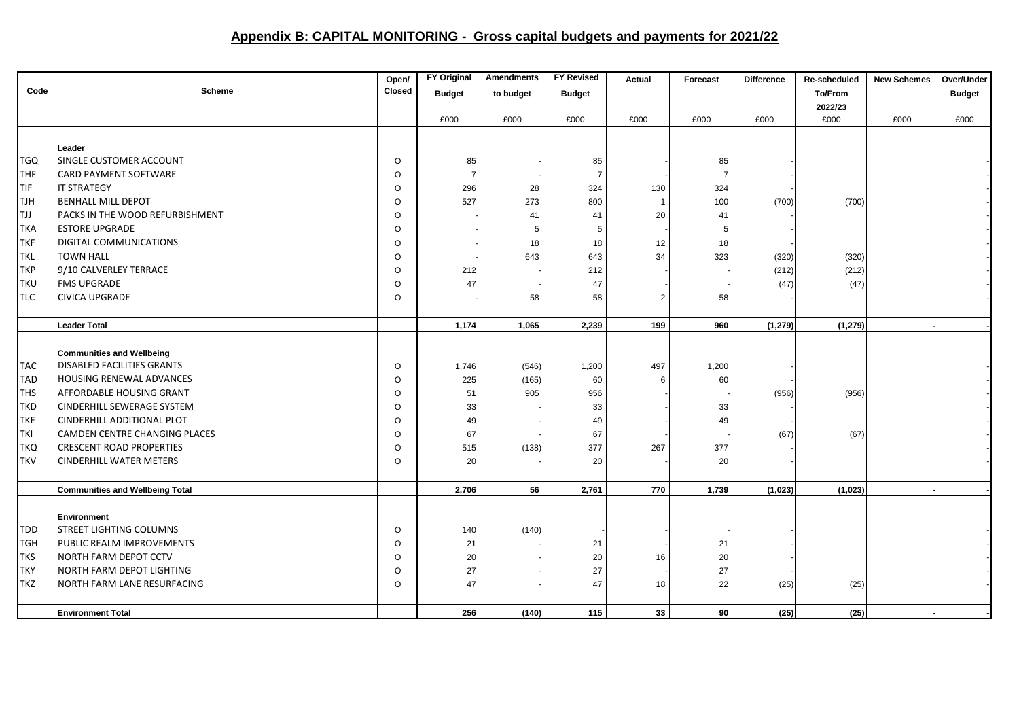## **Appendix B: CAPITAL MONITORING - Gross capital budgets and payments for 2021/22**

|            |                                        | Open/   | <b>FY Original</b> | <b>Amendments</b> | <b>FY Revised</b> | Actual         | Forecast                 | <b>Difference</b> | Re-scheduled | <b>New Schemes</b> | Over/Under    |
|------------|----------------------------------------|---------|--------------------|-------------------|-------------------|----------------|--------------------------|-------------------|--------------|--------------------|---------------|
| Code       | <b>Scheme</b>                          | Closed  | <b>Budget</b>      | to budget         | <b>Budget</b>     |                |                          |                   | To/From      |                    | <b>Budget</b> |
|            |                                        |         |                    |                   |                   |                |                          |                   | 2022/23      |                    |               |
|            |                                        |         | £000               | £000              | £000              | £000           | £000                     | £000              | £000         | £000               | £000          |
|            |                                        |         |                    |                   |                   |                |                          |                   |              |                    |               |
|            | Leader                                 |         |                    |                   |                   |                |                          |                   |              |                    |               |
| <b>TGQ</b> | SINGLE CUSTOMER ACCOUNT                | $\circ$ | 85                 |                   | 85                |                | 85                       |                   |              |                    |               |
| THF        | CARD PAYMENT SOFTWARE                  | $\circ$ | $\overline{7}$     |                   | -7                |                | $\overline{7}$           |                   |              |                    |               |
| TIF        | IT STRATEGY                            | $\circ$ | 296                | 28                | 324               | 130            | 324                      |                   |              |                    |               |
| <b>TJH</b> | <b>BENHALL MILL DEPOT</b>              | $\circ$ | 527                | 273               | 800               | $\mathbf{1}$   | 100                      | (700)             | (700)        |                    |               |
| ITJJ       | PACKS IN THE WOOD REFURBISHMENT        | $\circ$ |                    | 41                | 41                | 20             | 41                       |                   |              |                    |               |
| <b>TKA</b> | <b>ESTORE UPGRADE</b>                  | $\circ$ |                    | 5                 | 5                 |                | 5                        |                   |              |                    |               |
| TKF        | DIGITAL COMMUNICATIONS                 | $\circ$ |                    | 18                | 18                | 12             | 18                       |                   |              |                    |               |
| <b>TKL</b> | <b>TOWN HALL</b>                       | $\circ$ |                    | 643               | 643               | 34             | 323                      | (320)             | (320)        |                    |               |
| TKP        | 9/10 CALVERLEY TERRACE                 | $\circ$ | 212                |                   | 212               |                |                          | (212)             | (212)        |                    |               |
| <b>TKU</b> | <b>FMS UPGRADE</b>                     | $\circ$ | 47                 |                   | 47                |                | $\sim$                   | (47)              | (47)         |                    |               |
| TLC        | <b>CIVICA UPGRADE</b>                  | $\circ$ |                    | 58                | 58                | $\overline{2}$ | 58                       |                   |              |                    |               |
|            |                                        |         |                    |                   |                   |                |                          |                   |              |                    |               |
|            | <b>Leader Total</b>                    |         | 1,174              | 1,065             | 2,239             | 199            | 960                      | (1, 279)          | (1, 279)     |                    |               |
|            |                                        |         |                    |                   |                   |                |                          |                   |              |                    |               |
|            | <b>Communities and Wellbeing</b>       |         |                    |                   |                   |                |                          |                   |              |                    |               |
| <b>TAC</b> | DISABLED FACILITIES GRANTS             | $\circ$ | 1,746              | (546)             | 1,200             | 497            | 1,200                    |                   |              |                    |               |
| <b>TAD</b> | HOUSING RENEWAL ADVANCES               | $\circ$ | 225                | (165)             | 60                | 6              | 60                       |                   |              |                    |               |
| <b>THS</b> | AFFORDABLE HOUSING GRANT               | $\circ$ | 51                 | 905               | 956               |                |                          | (956)             | (956)        |                    |               |
| <b>TKD</b> | CINDERHILL SEWERAGE SYSTEM             | $\circ$ | 33                 |                   | 33                |                | 33                       |                   |              |                    |               |
| <b>TKE</b> | CINDERHILL ADDITIONAL PLOT             | $\circ$ | 49                 |                   | 49                |                | 49                       |                   |              |                    |               |
| TKI        | CAMDEN CENTRE CHANGING PLACES          | $\circ$ | 67                 |                   | 67                |                | $\overline{\phantom{a}}$ | (67)              | (67)         |                    |               |
| <b>TKQ</b> | <b>CRESCENT ROAD PROPERTIES</b>        | $\circ$ | 515                | (138)             | 377               | 267            | 377                      |                   |              |                    |               |
| <b>TKV</b> | <b>CINDERHILL WATER METERS</b>         | $\circ$ | 20                 |                   | 20                |                | 20                       |                   |              |                    |               |
|            |                                        |         |                    |                   |                   |                |                          |                   |              |                    |               |
|            | <b>Communities and Wellbeing Total</b> |         | 2,706              | 56                | 2,761             | 770            | 1,739                    | (1,023)           | (1,023)      |                    |               |
|            |                                        |         |                    |                   |                   |                |                          |                   |              |                    |               |
|            | <b>Environment</b>                     |         |                    |                   |                   |                |                          |                   |              |                    |               |
| <b>TDD</b> | STREET LIGHTING COLUMNS                | $\circ$ | 140                | (140)             |                   |                |                          |                   |              |                    |               |
| <b>TGH</b> | PUBLIC REALM IMPROVEMENTS              | $\circ$ | 21                 |                   | 21                |                | 21                       |                   |              |                    |               |
| <b>TKS</b> | NORTH FARM DEPOT CCTV                  | $\circ$ | 20                 |                   | 20                | 16             | 20                       |                   |              |                    |               |
| TKY        | NORTH FARM DEPOT LIGHTING              | $\circ$ | 27                 |                   | 27                |                | 27                       |                   |              |                    |               |
| <b>TKZ</b> | NORTH FARM LANE RESURFACING            | $\circ$ | 47                 |                   | 47                | 18             | 22                       | (25)              | (25)         |                    |               |
|            |                                        |         |                    |                   |                   |                |                          |                   |              |                    |               |
|            | <b>Environment Total</b>               |         | 256                | (140)             | 115               | 33             | 90                       | (25)              | (25)         |                    |               |